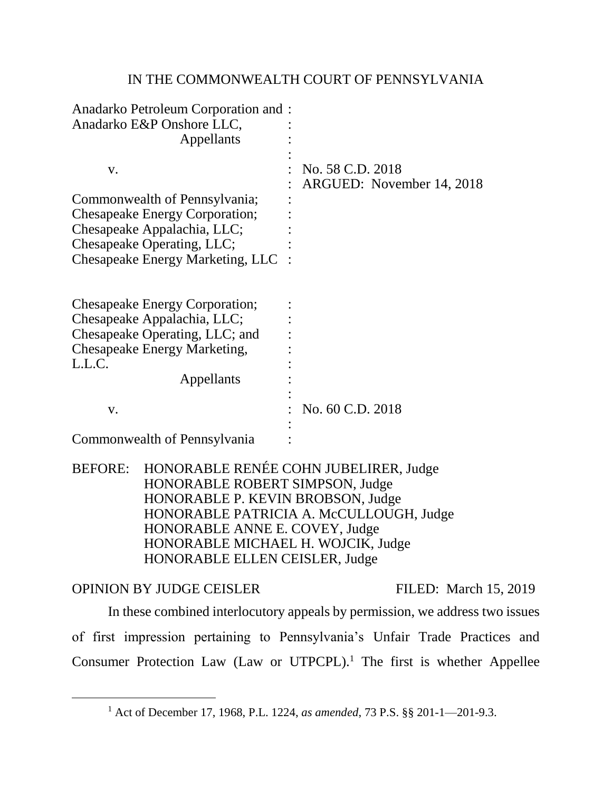# IN THE COMMONWEALTH COURT OF PENNSYLVANIA

| Anadarko Petroleum Corporation and :<br>Anadarko E&P Onshore LLC,<br>Appellants                                                                                                                  |                                                                                  |
|--------------------------------------------------------------------------------------------------------------------------------------------------------------------------------------------------|----------------------------------------------------------------------------------|
| V.<br>Commonwealth of Pennsylvania;<br><b>Chesapeake Energy Corporation;</b><br>Chesapeake Appalachia, LLC;<br>Chesapeake Operating, LLC;<br>Chesapeake Energy Marketing, LLC                    | No. 58 C.D. 2018<br>ARGUED: November 14, 2018                                    |
| <b>Chesapeake Energy Corporation;</b><br>Chesapeake Appalachia, LLC;<br>Chesapeake Operating, LLC; and<br><b>Chesapeake Energy Marketing,</b><br>L.L.C.<br>Appellants                            |                                                                                  |
| V.                                                                                                                                                                                               | No. 60 C.D. 2018                                                                 |
| Commonwealth of Pennsylvania                                                                                                                                                                     |                                                                                  |
| <b>BEFORE:</b><br>HONORABLE ROBERT SIMPSON, Judge<br>HONORABLE P. KEVIN BROBSON, Judge<br>HONORABLE ANNE E. COVEY, Judge<br>HONORABLE MICHAEL H. WOJCIK, Judge<br>HONORABLE ELLEN CEISLER, Judge | HONORABLE RENÉE COHN JUBELIRER, Judge<br>HONORABLE PATRICIA A. McCULLOUGH, Judge |
| <b>OPINION BY JUDGE CEISLER</b>                                                                                                                                                                  | FILED: March 15, 2019                                                            |
|                                                                                                                                                                                                  | In these combined interlocutory appeals by permission, we address two issues     |

of first impression pertaining to Pennsylvania's Unfair Trade Practices and Consumer Protection Law (Law or UTPCPL).<sup>1</sup> The first is whether Appellee

<sup>1</sup> Act of December 17, 1968, P.L. 1224, *as amended*, 73 P.S. §§ 201-1—201-9.3.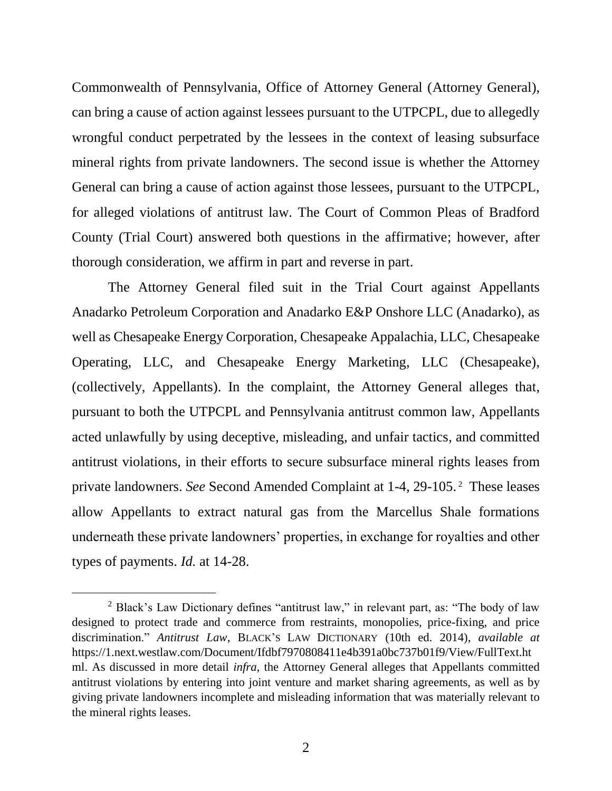Commonwealth of Pennsylvania, Office of Attorney General (Attorney General), can bring a cause of action against lessees pursuant to the UTPCPL, due to allegedly wrongful conduct perpetrated by the lessees in the context of leasing subsurface mineral rights from private landowners. The second issue is whether the Attorney General can bring a cause of action against those lessees, pursuant to the UTPCPL, for alleged violations of antitrust law. The Court of Common Pleas of Bradford County (Trial Court) answered both questions in the affirmative; however, after thorough consideration, we affirm in part and reverse in part.

The Attorney General filed suit in the Trial Court against Appellants Anadarko Petroleum Corporation and Anadarko E&P Onshore LLC (Anadarko), as well as Chesapeake Energy Corporation, Chesapeake Appalachia, LLC, Chesapeake Operating, LLC, and Chesapeake Energy Marketing, LLC (Chesapeake), (collectively, Appellants). In the complaint, the Attorney General alleges that, pursuant to both the UTPCPL and Pennsylvania antitrust common law, Appellants acted unlawfully by using deceptive, misleading, and unfair tactics, and committed antitrust violations, in their efforts to secure subsurface mineral rights leases from private landowners. *See* Second Amended Complaint at 1-4, 29-105. <sup>2</sup> These leases allow Appellants to extract natural gas from the Marcellus Shale formations underneath these private landowners' properties, in exchange for royalties and other types of payments. *Id.* at 14-28.

<sup>&</sup>lt;sup>2</sup> Black's Law Dictionary defines "antitrust law," in relevant part, as: "The body of law designed to protect trade and commerce from restraints, monopolies, price-fixing, and price discrimination." *Antitrust Law*, BLACK'S LAW DICTIONARY (10th ed. 2014), *available at*  https://1.next.westlaw.com/Document/Ifdbf7970808411e4b391a0bc737b01f9/View/FullText.ht ml. As discussed in more detail *infra*, the Attorney General alleges that Appellants committed antitrust violations by entering into joint venture and market sharing agreements, as well as by giving private landowners incomplete and misleading information that was materially relevant to the mineral rights leases.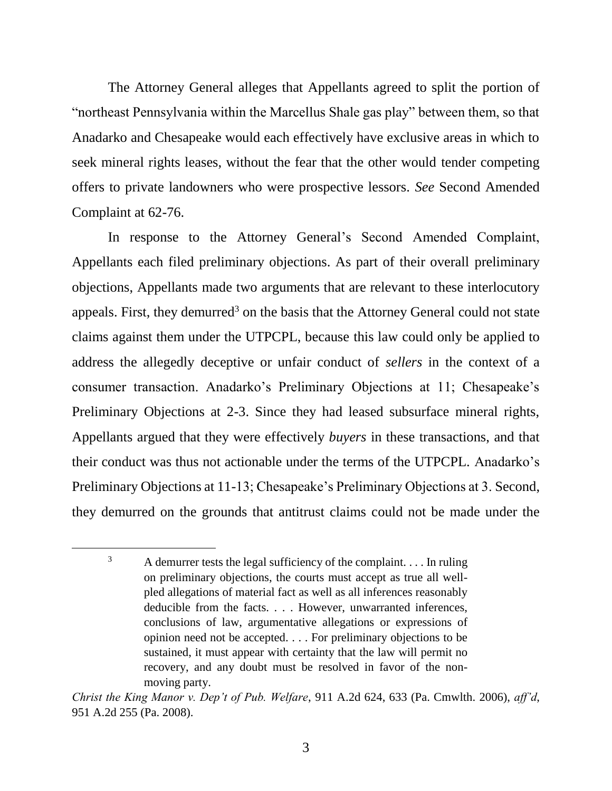The Attorney General alleges that Appellants agreed to split the portion of "northeast Pennsylvania within the Marcellus Shale gas play" between them, so that Anadarko and Chesapeake would each effectively have exclusive areas in which to seek mineral rights leases, without the fear that the other would tender competing offers to private landowners who were prospective lessors. *See* Second Amended Complaint at 62-76.

In response to the Attorney General's Second Amended Complaint, Appellants each filed preliminary objections. As part of their overall preliminary objections, Appellants made two arguments that are relevant to these interlocutory appeals. First, they demurred<sup>3</sup> on the basis that the Attorney General could not state claims against them under the UTPCPL, because this law could only be applied to address the allegedly deceptive or unfair conduct of *sellers* in the context of a consumer transaction. Anadarko's Preliminary Objections at 11; Chesapeake's Preliminary Objections at 2-3. Since they had leased subsurface mineral rights, Appellants argued that they were effectively *buyers* in these transactions, and that their conduct was thus not actionable under the terms of the UTPCPL. Anadarko's Preliminary Objections at 11-13; Chesapeake's Preliminary Objections at 3. Second, they demurred on the grounds that antitrust claims could not be made under the

 $3$  A demurrer tests the legal sufficiency of the complaint. . . . In ruling on preliminary objections, the courts must accept as true all wellpled allegations of material fact as well as all inferences reasonably deducible from the facts. . . . However, unwarranted inferences, conclusions of law, argumentative allegations or expressions of opinion need not be accepted. . . . For preliminary objections to be sustained, it must appear with certainty that the law will permit no recovery, and any doubt must be resolved in favor of the nonmoving party.

*Christ the King Manor v. Dep't of Pub. Welfare*, 911 A.2d 624, 633 (Pa. Cmwlth. 2006), *aff'd*, 951 A.2d 255 (Pa. 2008).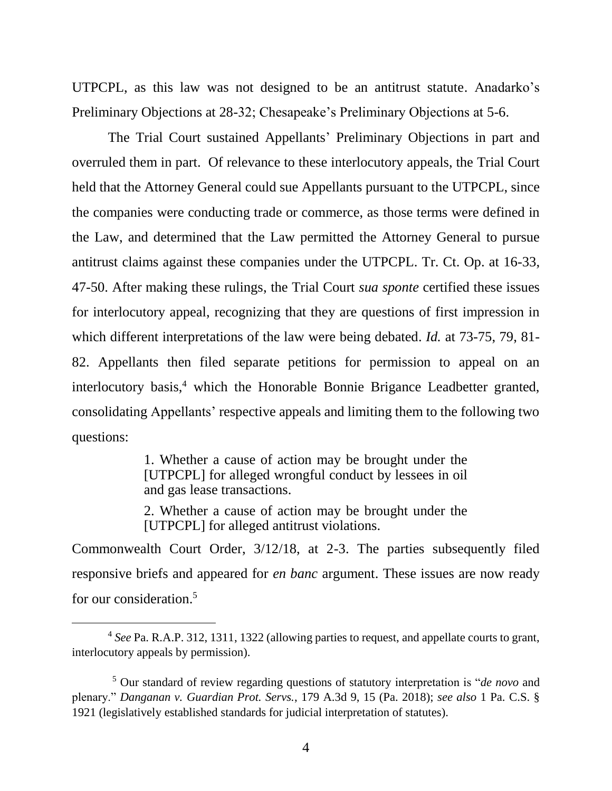UTPCPL, as this law was not designed to be an antitrust statute. Anadarko's Preliminary Objections at 28-32; Chesapeake's Preliminary Objections at 5-6.

The Trial Court sustained Appellants' Preliminary Objections in part and overruled them in part. Of relevance to these interlocutory appeals, the Trial Court held that the Attorney General could sue Appellants pursuant to the UTPCPL, since the companies were conducting trade or commerce, as those terms were defined in the Law, and determined that the Law permitted the Attorney General to pursue antitrust claims against these companies under the UTPCPL. Tr. Ct. Op. at 16-33, 47-50. After making these rulings, the Trial Court *sua sponte* certified these issues for interlocutory appeal, recognizing that they are questions of first impression in which different interpretations of the law were being debated. *Id.* at 73-75, 79, 81- 82. Appellants then filed separate petitions for permission to appeal on an interlocutory basis,<sup>4</sup> which the Honorable Bonnie Brigance Leadbetter granted, consolidating Appellants' respective appeals and limiting them to the following two questions:

> 1. Whether a cause of action may be brought under the [UTPCPL] for alleged wrongful conduct by lessees in oil and gas lease transactions.

> 2. Whether a cause of action may be brought under the [UTPCPL] for alleged antitrust violations.

Commonwealth Court Order, 3/12/18, at 2-3. The parties subsequently filed responsive briefs and appeared for *en banc* argument. These issues are now ready for our consideration.<sup>5</sup>

<sup>4</sup> *See* Pa. R.A.P. 312, 1311, 1322 (allowing parties to request, and appellate courts to grant, interlocutory appeals by permission).

<sup>5</sup> Our standard of review regarding questions of statutory interpretation is "*de novo* and plenary." *Danganan v. Guardian Prot. Servs.*, 179 A.3d 9, 15 (Pa. 2018); *see also* 1 Pa. C.S. § 1921 (legislatively established standards for judicial interpretation of statutes).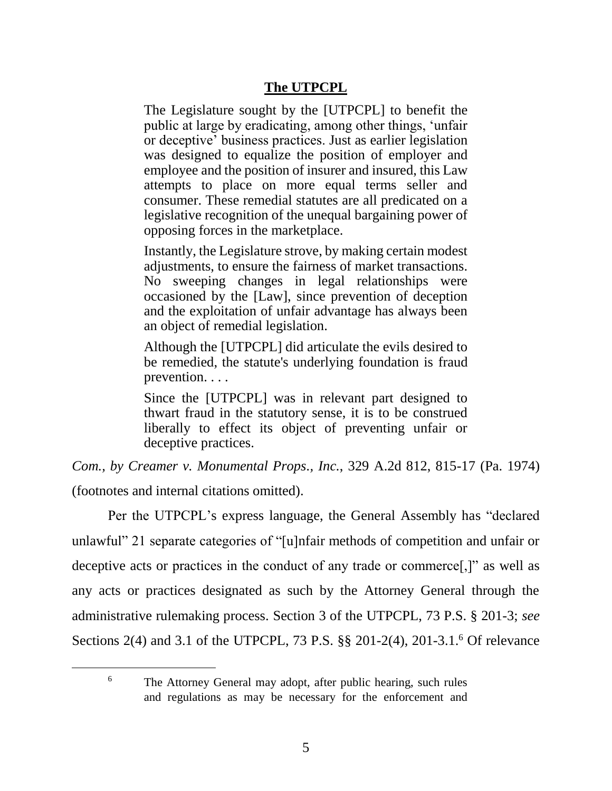# **The UTPCPL**

The Legislature sought by the [UTPCPL] to benefit the public at large by eradicating, among other things, 'unfair or deceptive' business practices. Just as earlier legislation was designed to equalize the position of employer and employee and the position of insurer and insured, this Law attempts to place on more equal terms seller and consumer. These remedial statutes are all predicated on a legislative recognition of the unequal bargaining power of opposing forces in the marketplace.

Instantly, the Legislature strove, by making certain modest adjustments, to ensure the fairness of market transactions. No sweeping changes in legal relationships were occasioned by the [Law], since prevention of deception and the exploitation of unfair advantage has always been an object of remedial legislation.

Although the [UTPCPL] did articulate the evils desired to be remedied, the statute's underlying foundation is fraud prevention. . . .

Since the [UTPCPL] was in relevant part designed to thwart fraud in the statutory sense, it is to be construed liberally to effect its object of preventing unfair or deceptive practices.

*Com., by Creamer v. Monumental Props., Inc.*, 329 A.2d 812, 815-17 (Pa. 1974)

(footnotes and internal citations omitted).

Per the UTPCPL's express language, the General Assembly has "declared unlawful" 21 separate categories of "[u]nfair methods of competition and unfair or deceptive acts or practices in the conduct of any trade or commerce[,]" as well as any acts or practices designated as such by the Attorney General through the administrative rulemaking process. Section 3 of the UTPCPL, 73 P.S. § 201-3; *see*  Sections 2(4) and 3.1 of the UTPCPL, 73 P.S. §§ 201-2(4), 201-3.1.<sup>6</sup> Of relevance

<sup>&</sup>lt;sup>6</sup> The Attorney General may adopt, after public hearing, such rules and regulations as may be necessary for the enforcement and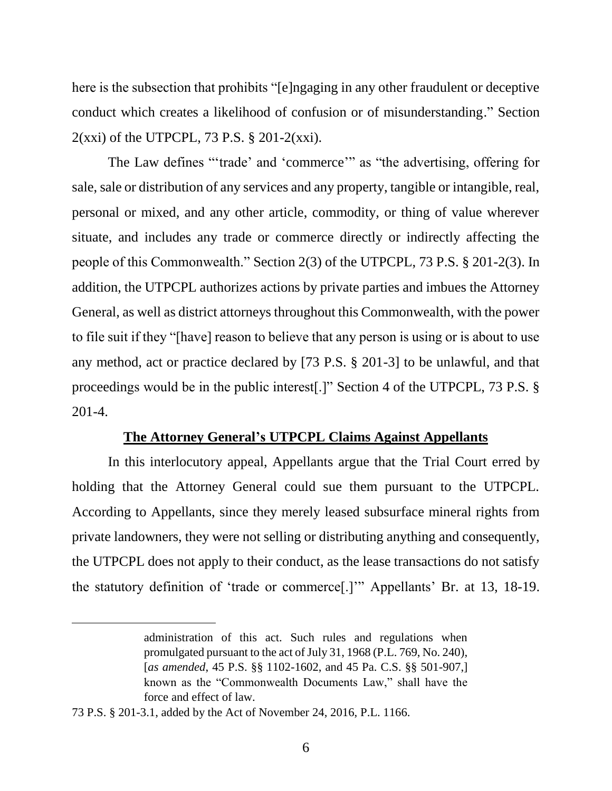here is the subsection that prohibits "[e]ngaging in any other fraudulent or deceptive conduct which creates a likelihood of confusion or of misunderstanding." Section  $2(xxi)$  of the UTPCPL, 73 P.S. § 201-2 $(xxi)$ .

The Law defines "'trade' and 'commerce'" as "the advertising, offering for sale, sale or distribution of any services and any property, tangible or intangible, real, personal or mixed, and any other article, commodity, or thing of value wherever situate, and includes any trade or commerce directly or indirectly affecting the people of this Commonwealth." Section 2(3) of the UTPCPL, 73 P.S. § 201-2(3). In addition, the UTPCPL authorizes actions by private parties and imbues the Attorney General, as well as district attorneys throughout this Commonwealth, with the power to file suit if they "[have] reason to believe that any person is using or is about to use any method, act or practice declared by [73 P.S. § 201-3] to be unlawful, and that proceedings would be in the public interest[.]" Section 4 of the UTPCPL, 73 P.S. § 201-4.

### **The Attorney General's UTPCPL Claims Against Appellants**

In this interlocutory appeal, Appellants argue that the Trial Court erred by holding that the Attorney General could sue them pursuant to the UTPCPL. According to Appellants, since they merely leased subsurface mineral rights from private landowners, they were not selling or distributing anything and consequently, the UTPCPL does not apply to their conduct, as the lease transactions do not satisfy the statutory definition of 'trade or commerce[.]'" Appellants' Br. at 13, 18-19.

administration of this act. Such rules and regulations when promulgated pursuant to the act of July 31, 1968 (P.L. 769, No. 240), [*as amended*, 45 P.S. §§ 1102-1602, and 45 Pa. C.S. §§ 501-907,] known as the "Commonwealth Documents Law," shall have the force and effect of law.

<sup>73</sup> P.S. § 201-3.1, added by the Act of November 24, 2016, P.L. 1166.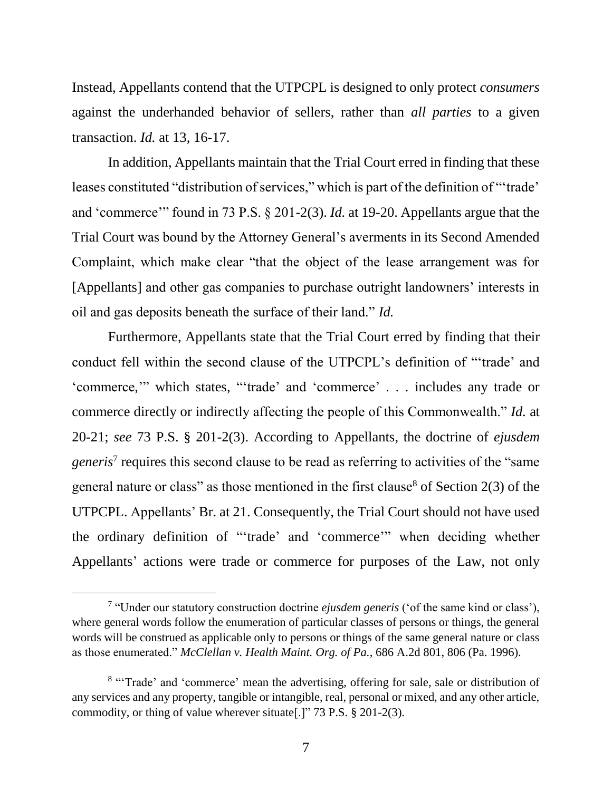Instead, Appellants contend that the UTPCPL is designed to only protect *consumers* against the underhanded behavior of sellers, rather than *all parties* to a given transaction. *Id.* at 13, 16-17.

In addition, Appellants maintain that the Trial Court erred in finding that these leases constituted "distribution of services," which is part of the definition of "'trade' and 'commerce'" found in 73 P.S. § 201-2(3). *Id.* at 19-20. Appellants argue that the Trial Court was bound by the Attorney General's averments in its Second Amended Complaint, which make clear "that the object of the lease arrangement was for [Appellants] and other gas companies to purchase outright landowners' interests in oil and gas deposits beneath the surface of their land." *Id.*

Furthermore, Appellants state that the Trial Court erred by finding that their conduct fell within the second clause of the UTPCPL's definition of "'trade' and 'commerce,'" which states, "'trade' and 'commerce' . . . includes any trade or commerce directly or indirectly affecting the people of this Commonwealth." *Id.* at 20-21; *see* 73 P.S. § 201-2(3). According to Appellants, the doctrine of *ejusdem*  generis<sup>7</sup> requires this second clause to be read as referring to activities of the "same" general nature or class" as those mentioned in the first clause<sup>8</sup> of Section 2(3) of the UTPCPL. Appellants' Br. at 21. Consequently, the Trial Court should not have used the ordinary definition of "'trade' and 'commerce'" when deciding whether Appellants' actions were trade or commerce for purposes of the Law, not only

<sup>7</sup> "Under our statutory construction doctrine *ejusdem generis* ('of the same kind or class'), where general words follow the enumeration of particular classes of persons or things, the general words will be construed as applicable only to persons or things of the same general nature or class as those enumerated." *McClellan v. Health Maint. Org. of Pa.*, 686 A.2d 801, 806 (Pa. 1996).

<sup>&</sup>lt;sup>8</sup> "Trade' and 'commerce' mean the advertising, offering for sale, sale or distribution of any services and any property, tangible or intangible, real, personal or mixed, and any other article, commodity, or thing of value wherever situate[.]" 73 P.S. § 201-2(3).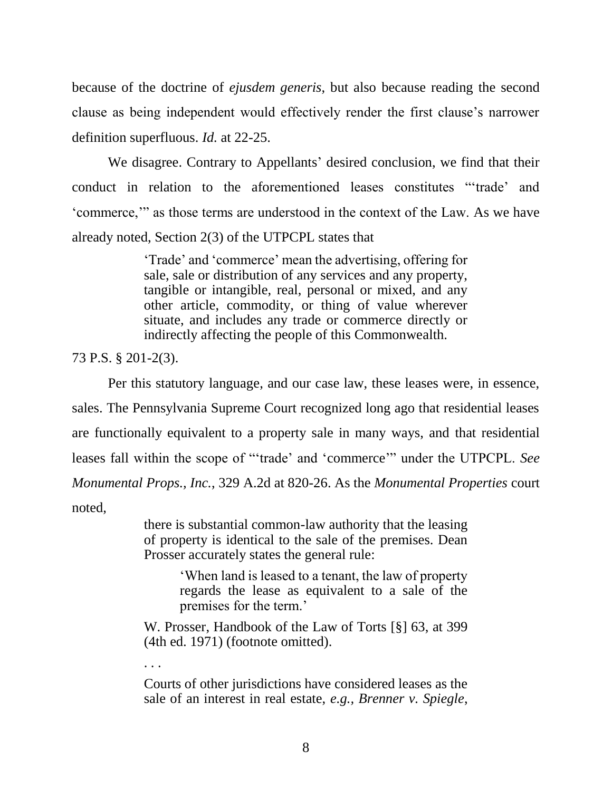because of the doctrine of *ejusdem generis*, but also because reading the second clause as being independent would effectively render the first clause's narrower definition superfluous. *Id.* at 22-25.

We disagree. Contrary to Appellants' desired conclusion, we find that their conduct in relation to the aforementioned leases constitutes "'trade' and 'commerce,'" as those terms are understood in the context of the Law. As we have already noted, Section 2(3) of the UTPCPL states that

> 'Trade' and 'commerce' mean the advertising, offering for sale, sale or distribution of any services and any property, tangible or intangible, real, personal or mixed, and any other article, commodity, or thing of value wherever situate, and includes any trade or commerce directly or indirectly affecting the people of this Commonwealth.

73 P.S. § 201-2(3).

. . .

Per this statutory language, and our case law, these leases were, in essence, sales. The Pennsylvania Supreme Court recognized long ago that residential leases are functionally equivalent to a property sale in many ways, and that residential leases fall within the scope of "'trade' and 'commerce'" under the UTPCPL. *See Monumental Props., Inc.*, 329 A.2d at 820-26. As the *Monumental Properties* court noted,

> there is substantial common-law authority that the leasing of property is identical to the sale of the premises. Dean Prosser accurately states the general rule:

> > 'When land is leased to a tenant, the law of property regards the lease as equivalent to a sale of the premises for the term.'

W. Prosser, Handbook of the Law of Torts [§] 63, at 399 (4th ed. 1971) (footnote omitted).

Courts of other jurisdictions have considered leases as the sale of an interest in real estate, *e.g., Brenner v. Spiegle*,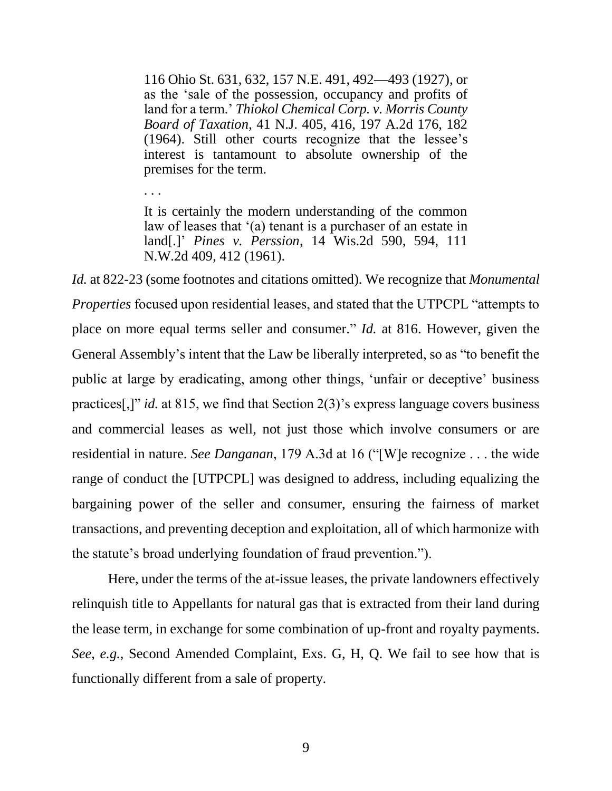116 Ohio St. 631, 632, 157 N.E. 491, 492—493 (1927), or as the 'sale of the possession, occupancy and profits of land for a term.' *Thiokol Chemical Corp. v. Morris County Board of Taxation*, 41 N.J. 405, 416, 197 A.2d 176, 182 (1964). Still other courts recognize that the lessee's interest is tantamount to absolute ownership of the premises for the term.

It is certainly the modern understanding of the common law of leases that '(a) tenant is a purchaser of an estate in land[.]' *Pines v. Perssion*, 14 Wis.2d 590, 594, 111 N.W.2d 409, 412 (1961).

. . .

*Id.* at 822-23 (some footnotes and citations omitted). We recognize that *Monumental Properties* focused upon residential leases, and stated that the UTPCPL "attempts to place on more equal terms seller and consumer." *Id.* at 816. However, given the General Assembly's intent that the Law be liberally interpreted, so as "to benefit the public at large by eradicating, among other things, 'unfair or deceptive' business practices[,]" *id.* at 815, we find that Section 2(3)'s express language covers business and commercial leases as well, not just those which involve consumers or are residential in nature. *See Danganan*, 179 A.3d at 16 ("[W]e recognize . . . the wide range of conduct the [UTPCPL] was designed to address, including equalizing the bargaining power of the seller and consumer, ensuring the fairness of market transactions, and preventing deception and exploitation, all of which harmonize with the statute's broad underlying foundation of fraud prevention.").

Here, under the terms of the at-issue leases, the private landowners effectively relinquish title to Appellants for natural gas that is extracted from their land during the lease term, in exchange for some combination of up-front and royalty payments. *See*, *e.g.*, Second Amended Complaint, Exs. G, H, Q. We fail to see how that is functionally different from a sale of property.

9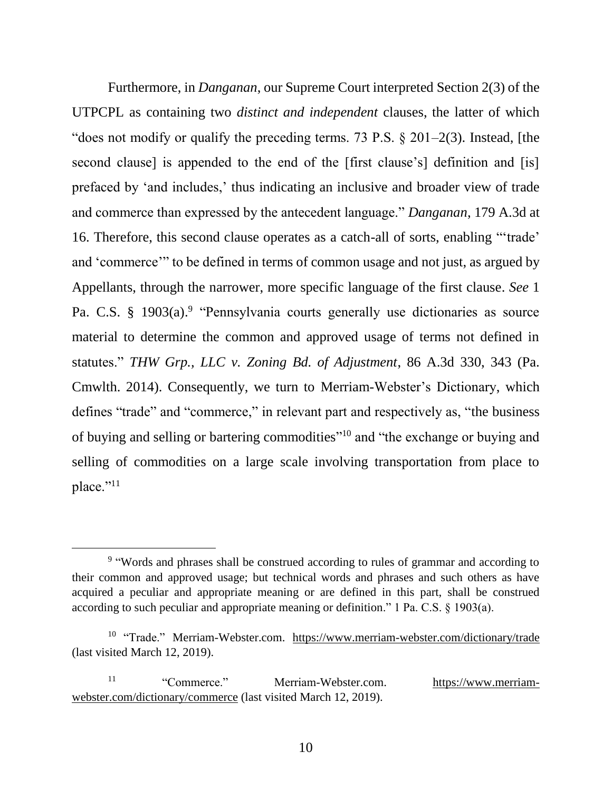Furthermore, in *Danganan*, our Supreme Court interpreted Section 2(3) of the UTPCPL as containing two *distinct and independent* clauses, the latter of which "does not modify or qualify the preceding terms. 73 P.S.  $\S 201-2(3)$ . Instead, [the second clause] is appended to the end of the [first clause's] definition and [is] prefaced by 'and includes,' thus indicating an inclusive and broader view of trade and commerce than expressed by the antecedent language." *Danganan*, 179 A.3d at 16. Therefore, this second clause operates as a catch-all of sorts, enabling "'trade' and 'commerce'" to be defined in terms of common usage and not just, as argued by Appellants, through the narrower, more specific language of the first clause. *See* 1 Pa. C.S. § 1903(a).<sup>9</sup> "Pennsylvania courts generally use dictionaries as source material to determine the common and approved usage of terms not defined in statutes." *THW Grp., LLC v. Zoning Bd. of Adjustment*, 86 A.3d 330, 343 (Pa. Cmwlth. 2014). Consequently, we turn to Merriam-Webster's Dictionary, which defines "trade" and "commerce," in relevant part and respectively as, "the business of buying and selling or bartering commodities"<sup>10</sup> and "the exchange or buying and selling of commodities on a large scale involving transportation from place to place."<sup>11</sup>

<sup>&</sup>lt;sup>9</sup> "Words and phrases shall be construed according to rules of grammar and according to their common and approved usage; but technical words and phrases and such others as have acquired a peculiar and appropriate meaning or are defined in this part, shall be construed according to such peculiar and appropriate meaning or definition." 1 Pa. C.S. § 1903(a).

<sup>&</sup>lt;sup>10</sup> "Trade." Merriam-Webster.com. https://www.merriam-webster.com/dictionary/trade (last visited March 12, 2019).

<sup>&</sup>lt;sup>11</sup> "Commerce." Merriam-Webster.com. https://www.merriamwebster.com/dictionary/commerce (last visited March 12, 2019).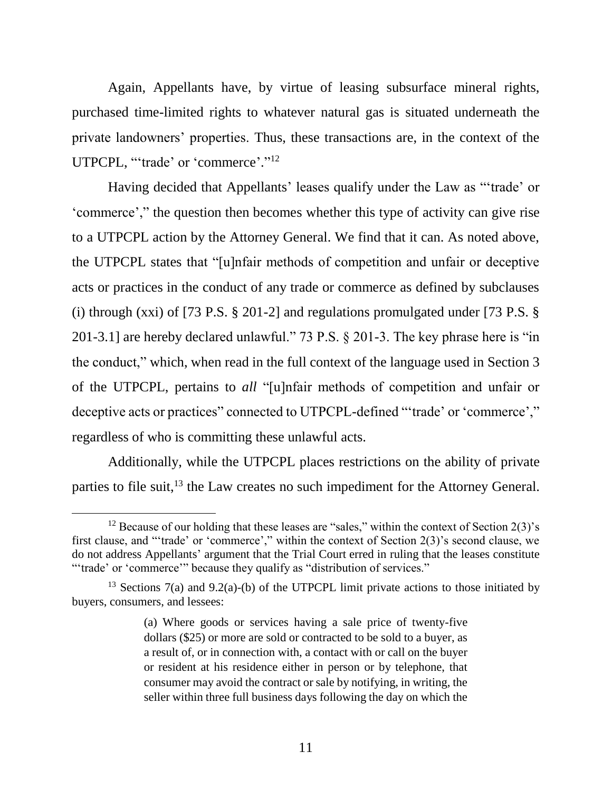Again, Appellants have, by virtue of leasing subsurface mineral rights, purchased time-limited rights to whatever natural gas is situated underneath the private landowners' properties. Thus, these transactions are, in the context of the UTPCPL, "'trade' or 'commerce'."<sup>12</sup>

Having decided that Appellants' leases qualify under the Law as "'trade' or 'commerce'," the question then becomes whether this type of activity can give rise to a UTPCPL action by the Attorney General. We find that it can. As noted above, the UTPCPL states that "[u]nfair methods of competition and unfair or deceptive acts or practices in the conduct of any trade or commerce as defined by subclauses (i) through (xxi) of [73 P.S. § 201-2] and regulations promulgated under [73 P.S. § 201-3.1] are hereby declared unlawful." 73 P.S. § 201-3. The key phrase here is "in the conduct," which, when read in the full context of the language used in Section 3 of the UTPCPL, pertains to *all* "[u]nfair methods of competition and unfair or deceptive acts or practices" connected to UTPCPL-defined "'trade' or 'commerce'," regardless of who is committing these unlawful acts.

Additionally, while the UTPCPL places restrictions on the ability of private parties to file suit,<sup>13</sup> the Law creates no such impediment for the Attorney General.

<sup>&</sup>lt;sup>12</sup> Because of our holding that these leases are "sales," within the context of Section  $2(3)$ 's first clause, and "'trade' or 'commerce'," within the context of Section 2(3)'s second clause, we do not address Appellants' argument that the Trial Court erred in ruling that the leases constitute ""trade' or 'commerce'" because they qualify as "distribution of services."

<sup>&</sup>lt;sup>13</sup> Sections 7(a) and 9.2(a)-(b) of the UTPCPL limit private actions to those initiated by buyers, consumers, and lessees:

<sup>(</sup>a) Where goods or services having a sale price of twenty-five dollars (\$25) or more are sold or contracted to be sold to a buyer, as a result of, or in connection with, a contact with or call on the buyer or resident at his residence either in person or by telephone, that consumer may avoid the contract or sale by notifying, in writing, the seller within three full business days following the day on which the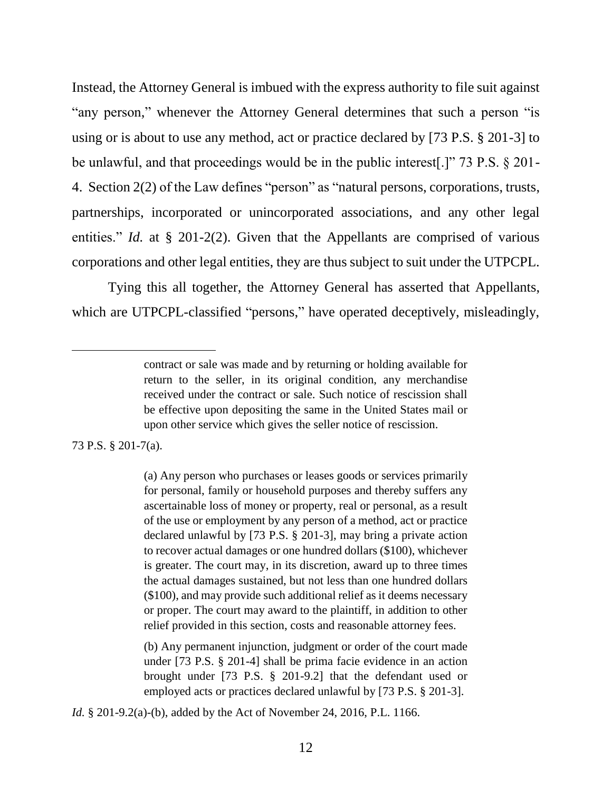Instead, the Attorney General is imbued with the express authority to file suit against "any person," whenever the Attorney General determines that such a person "is using or is about to use any method, act or practice declared by [73 P.S. § 201-3] to be unlawful, and that proceedings would be in the public interest[.]" 73 P.S. § 201- 4. Section 2(2) of the Law defines "person" as "natural persons, corporations, trusts, partnerships, incorporated or unincorporated associations, and any other legal entities." *Id.* at § 201-2(2). Given that the Appellants are comprised of various corporations and other legal entities, they are thus subject to suit under the UTPCPL.

Tying this all together, the Attorney General has asserted that Appellants, which are UTPCPL-classified "persons," have operated deceptively, misleadingly,

73 P.S. § 201-7(a).

l

(a) Any person who purchases or leases goods or services primarily for personal, family or household purposes and thereby suffers any ascertainable loss of money or property, real or personal, as a result of the use or employment by any person of a method, act or practice declared unlawful by [73 P.S. § 201-3], may bring a private action to recover actual damages or one hundred dollars (\$100), whichever is greater. The court may, in its discretion, award up to three times the actual damages sustained, but not less than one hundred dollars (\$100), and may provide such additional relief as it deems necessary or proper. The court may award to the plaintiff, in addition to other relief provided in this section, costs and reasonable attorney fees.

(b) Any permanent injunction, judgment or order of the court made under [73 P.S. § 201-4] shall be prima facie evidence in an action brought under [73 P.S. § 201-9.2] that the defendant used or employed acts or practices declared unlawful by [73 P.S. § 201-3].

*Id.* § 201-9.2(a)-(b), added by the Act of November 24, 2016, P.L. 1166.

contract or sale was made and by returning or holding available for return to the seller, in its original condition, any merchandise received under the contract or sale. Such notice of rescission shall be effective upon depositing the same in the United States mail or upon other service which gives the seller notice of rescission.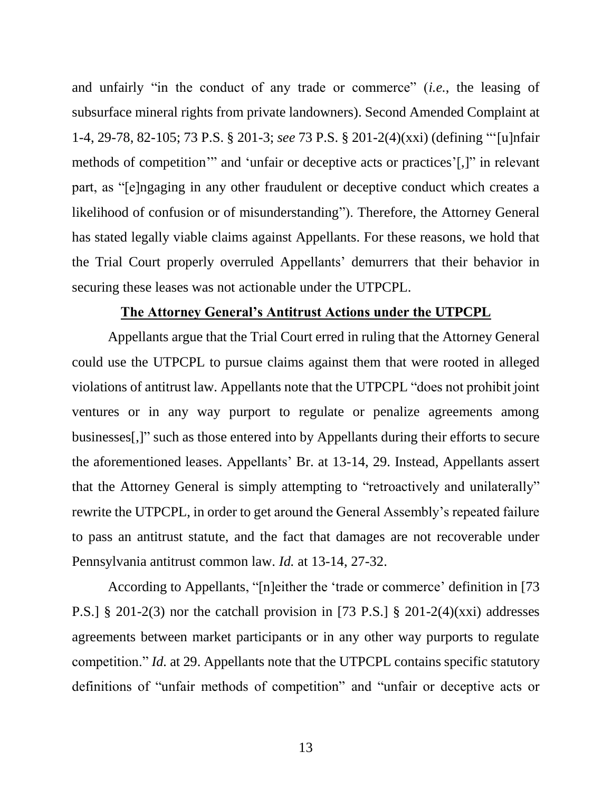and unfairly "in the conduct of any trade or commerce" (*i.e.*, the leasing of subsurface mineral rights from private landowners). Second Amended Complaint at 1-4, 29-78, 82-105; 73 P.S. § 201-3; *see* 73 P.S. § 201-2(4)(xxi) (defining "'[u]nfair methods of competition'" and 'unfair or deceptive acts or practices'[,]" in relevant part, as "[e]ngaging in any other fraudulent or deceptive conduct which creates a likelihood of confusion or of misunderstanding"). Therefore, the Attorney General has stated legally viable claims against Appellants. For these reasons, we hold that the Trial Court properly overruled Appellants' demurrers that their behavior in securing these leases was not actionable under the UTPCPL.

#### **The Attorney General's Antitrust Actions under the UTPCPL**

Appellants argue that the Trial Court erred in ruling that the Attorney General could use the UTPCPL to pursue claims against them that were rooted in alleged violations of antitrust law. Appellants note that the UTPCPL "does not prohibit joint ventures or in any way purport to regulate or penalize agreements among businesses[,]" such as those entered into by Appellants during their efforts to secure the aforementioned leases. Appellants' Br. at 13-14, 29. Instead, Appellants assert that the Attorney General is simply attempting to "retroactively and unilaterally" rewrite the UTPCPL, in order to get around the General Assembly's repeated failure to pass an antitrust statute, and the fact that damages are not recoverable under Pennsylvania antitrust common law. *Id.* at 13-14, 27-32.

According to Appellants, "[n]either the 'trade or commerce' definition in [73 P.S.] § 201-2(3) nor the catchall provision in [73 P.S.] § 201-2(4)(xxi) addresses agreements between market participants or in any other way purports to regulate competition." *Id.* at 29. Appellants note that the UTPCPL contains specific statutory definitions of "unfair methods of competition" and "unfair or deceptive acts or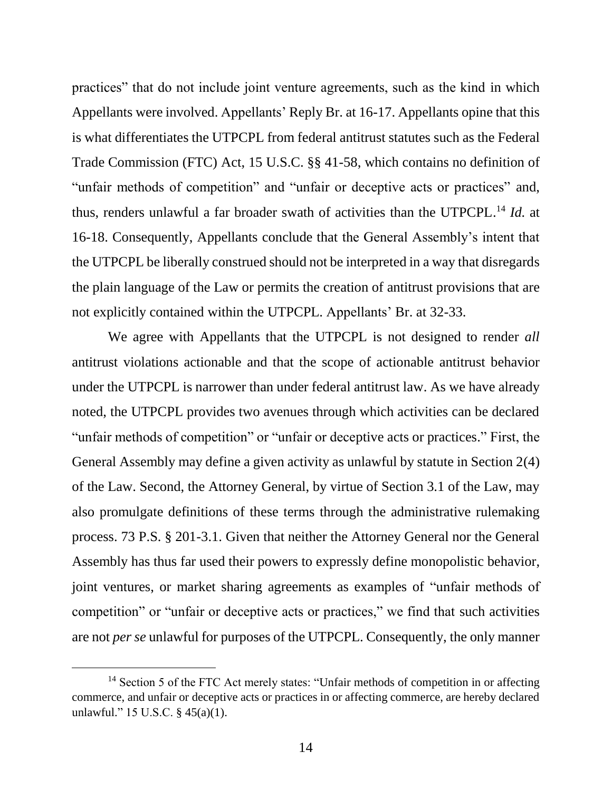practices" that do not include joint venture agreements, such as the kind in which Appellants were involved. Appellants' Reply Br. at 16-17. Appellants opine that this is what differentiates the UTPCPL from federal antitrust statutes such as the Federal Trade Commission (FTC) Act, 15 U.S.C. §§ 41-58, which contains no definition of "unfair methods of competition" and "unfair or deceptive acts or practices" and, thus, renders unlawful a far broader swath of activities than the UTPCPL. <sup>14</sup> *Id.* at 16-18. Consequently, Appellants conclude that the General Assembly's intent that the UTPCPL be liberally construed should not be interpreted in a way that disregards the plain language of the Law or permits the creation of antitrust provisions that are not explicitly contained within the UTPCPL. Appellants' Br. at 32-33.

We agree with Appellants that the UTPCPL is not designed to render *all* antitrust violations actionable and that the scope of actionable antitrust behavior under the UTPCPL is narrower than under federal antitrust law. As we have already noted, the UTPCPL provides two avenues through which activities can be declared "unfair methods of competition" or "unfair or deceptive acts or practices." First, the General Assembly may define a given activity as unlawful by statute in Section 2(4) of the Law. Second, the Attorney General, by virtue of Section 3.1 of the Law, may also promulgate definitions of these terms through the administrative rulemaking process. 73 P.S. § 201-3.1. Given that neither the Attorney General nor the General Assembly has thus far used their powers to expressly define monopolistic behavior, joint ventures, or market sharing agreements as examples of "unfair methods of competition" or "unfair or deceptive acts or practices," we find that such activities are not *per se* unlawful for purposes of the UTPCPL. Consequently, the only manner

<sup>&</sup>lt;sup>14</sup> Section 5 of the FTC Act merely states: "Unfair methods of competition in or affecting commerce, and unfair or deceptive acts or practices in or affecting commerce, are hereby declared unlawful." 15 U.S.C. § 45(a)(1).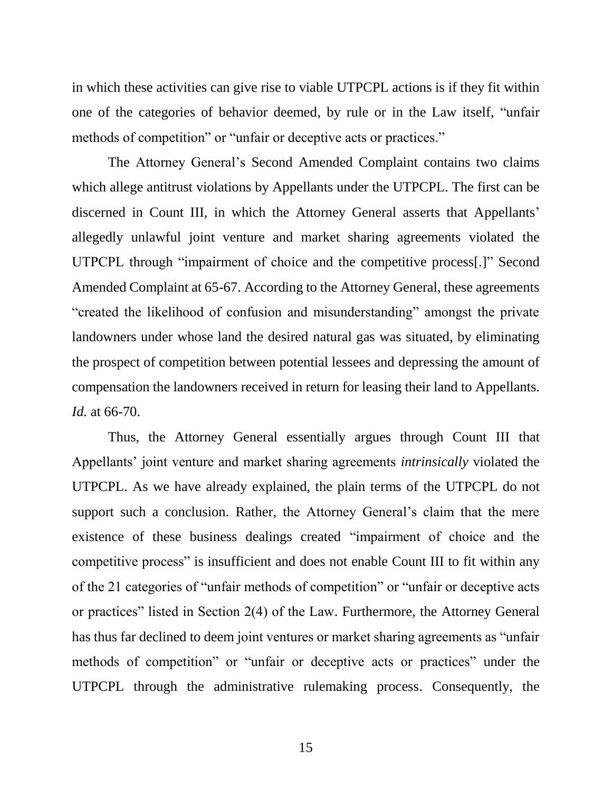in which these activities can give rise to viable UTPCPL actions is if they fit within one of the categories of behavior deemed, by rule or in the Law itself, "unfair methods of competition" or "unfair or deceptive acts or practices."

The Attorney General's Second Amended Complaint contains two claims which allege antitrust violations by Appellants under the UTPCPL. The first can be discerned in Count III, in which the Attorney General asserts that Appellants' allegedly unlawful joint venture and market sharing agreements violated the UTPCPL through "impairment of choice and the competitive process[.]" Second Amended Complaint at 65-67. According to the Attorney General, these agreements "created the likelihood of confusion and misunderstanding" amongst the private landowners under whose land the desired natural gas was situated, by eliminating the prospect of competition between potential lessees and depressing the amount of compensation the landowners received in return for leasing their land to Appellants. *Id.* at 66-70.

Thus, the Attorney General essentially argues through Count III that Appellants' joint venture and market sharing agreements *intrinsically* violated the UTPCPL. As we have already explained, the plain terms of the UTPCPL do not support such a conclusion. Rather, the Attorney General's claim that the mere existence of these business dealings created "impairment of choice and the competitive process" is insufficient and does not enable Count III to fit within any of the 21 categories of "unfair methods of competition" or "unfair or deceptive acts or practices" listed in Section 2(4) of the Law. Furthermore, the Attorney General has thus far declined to deem joint ventures or market sharing agreements as "unfair methods of competition" or "unfair or deceptive acts or practices" under the UTPCPL through the administrative rulemaking process. Consequently, the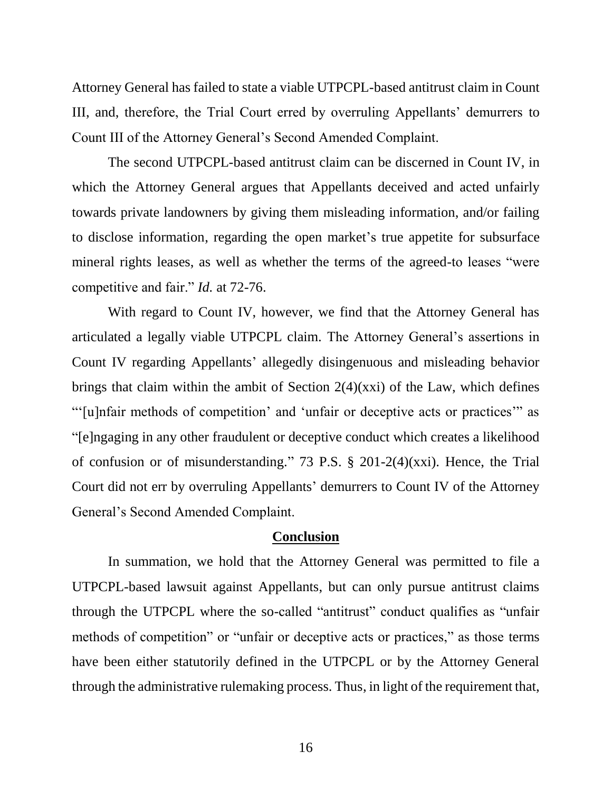Attorney General has failed to state a viable UTPCPL-based antitrust claim in Count III, and, therefore, the Trial Court erred by overruling Appellants' demurrers to Count III of the Attorney General's Second Amended Complaint.

The second UTPCPL-based antitrust claim can be discerned in Count IV, in which the Attorney General argues that Appellants deceived and acted unfairly towards private landowners by giving them misleading information, and/or failing to disclose information, regarding the open market's true appetite for subsurface mineral rights leases, as well as whether the terms of the agreed-to leases "were competitive and fair." *Id.* at 72-76.

With regard to Count IV, however, we find that the Attorney General has articulated a legally viable UTPCPL claim. The Attorney General's assertions in Count IV regarding Appellants' allegedly disingenuous and misleading behavior brings that claim within the ambit of Section 2(4)(xxi) of the Law, which defines "'[u]nfair methods of competition' and 'unfair or deceptive acts or practices'" as "[e]ngaging in any other fraudulent or deceptive conduct which creates a likelihood of confusion or of misunderstanding." 73 P.S. § 201-2(4)(xxi). Hence, the Trial Court did not err by overruling Appellants' demurrers to Count IV of the Attorney General's Second Amended Complaint.

#### **Conclusion**

In summation, we hold that the Attorney General was permitted to file a UTPCPL-based lawsuit against Appellants, but can only pursue antitrust claims through the UTPCPL where the so-called "antitrust" conduct qualifies as "unfair methods of competition" or "unfair or deceptive acts or practices," as those terms have been either statutorily defined in the UTPCPL or by the Attorney General through the administrative rulemaking process. Thus, in light of the requirement that,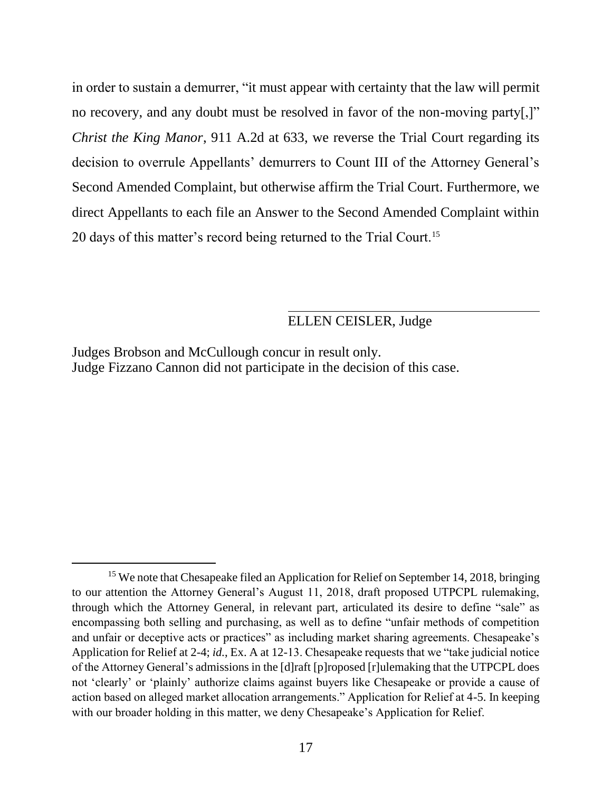in order to sustain a demurrer, "it must appear with certainty that the law will permit no recovery, and any doubt must be resolved in favor of the non-moving party[,]" *Christ the King Manor*, 911 A.2d at 633, we reverse the Trial Court regarding its decision to overrule Appellants' demurrers to Count III of the Attorney General's Second Amended Complaint, but otherwise affirm the Trial Court. Furthermore, we direct Appellants to each file an Answer to the Second Amended Complaint within 20 days of this matter's record being returned to the Trial Court.<sup>15</sup>

## ELLEN CEISLER, Judge

Judges Brobson and McCullough concur in result only. Judge Fizzano Cannon did not participate in the decision of this case.

<sup>&</sup>lt;sup>15</sup> We note that Chesapeake filed an Application for Relief on September 14, 2018, bringing to our attention the Attorney General's August 11, 2018, draft proposed UTPCPL rulemaking, through which the Attorney General, in relevant part, articulated its desire to define "sale" as encompassing both selling and purchasing, as well as to define "unfair methods of competition and unfair or deceptive acts or practices" as including market sharing agreements. Chesapeake's Application for Relief at 2-4; *id.*, Ex. A at 12-13. Chesapeake requests that we "take judicial notice of the Attorney General's admissions in the [d]raft [p]roposed [r]ulemaking that the UTPCPL does not 'clearly' or 'plainly' authorize claims against buyers like Chesapeake or provide a cause of action based on alleged market allocation arrangements." Application for Relief at 4-5. In keeping with our broader holding in this matter, we deny Chesapeake's Application for Relief.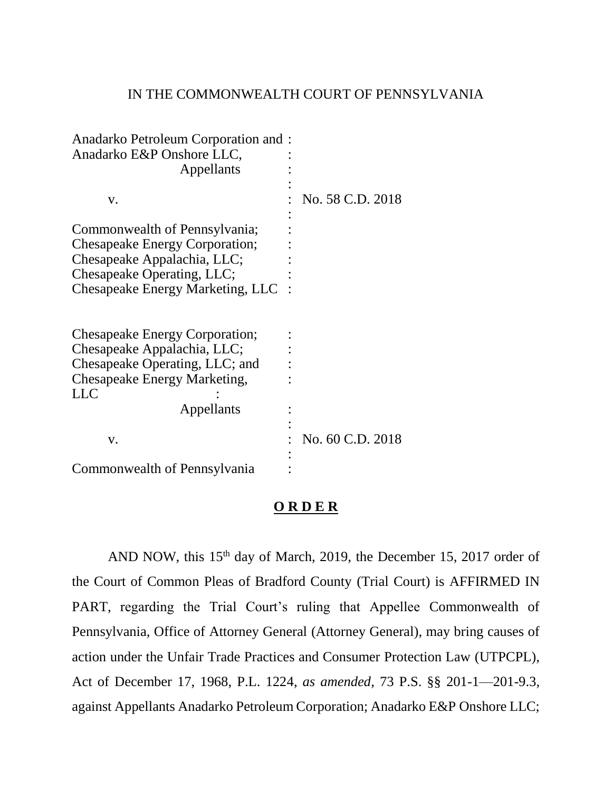### IN THE COMMONWEALTH COURT OF PENNSYLVANIA

| Anadarko Petroleum Corporation and :<br>Anadarko E&P Onshore LLC,<br>Appellants                                                                                         |                  |
|-------------------------------------------------------------------------------------------------------------------------------------------------------------------------|------------------|
|                                                                                                                                                                         |                  |
| v.                                                                                                                                                                      | No. 58 C.D. 2018 |
| Commonwealth of Pennsylvania;<br><b>Chesapeake Energy Corporation;</b><br>Chesapeake Appalachia, LLC;<br>Chesapeake Operating, LLC;<br>Chesapeake Energy Marketing, LLC |                  |
| Chesapeake Energy Corporation;<br>Chesapeake Appalachia, LLC;<br>Chesapeake Operating, LLC; and<br><b>Chesapeake Energy Marketing,</b><br>LLC<br>Appellants             |                  |
| v.                                                                                                                                                                      | No. 60 C.D. 2018 |
| Commonwealth of Pennsylvania                                                                                                                                            |                  |

## **O R D E R**

AND NOW, this  $15<sup>th</sup>$  day of March, 2019, the December 15, 2017 order of the Court of Common Pleas of Bradford County (Trial Court) is AFFIRMED IN PART, regarding the Trial Court's ruling that Appellee Commonwealth of Pennsylvania, Office of Attorney General (Attorney General), may bring causes of action under the Unfair Trade Practices and Consumer Protection Law (UTPCPL), Act of December 17, 1968, P.L. 1224, *as amended*, 73 P.S. §§ 201-1—201-9.3, against Appellants Anadarko Petroleum Corporation; Anadarko E&P Onshore LLC;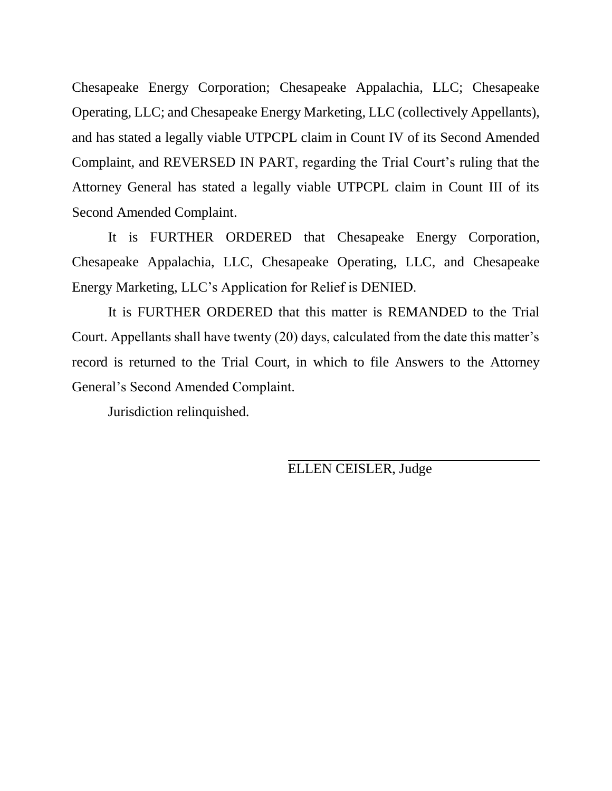Chesapeake Energy Corporation; Chesapeake Appalachia, LLC; Chesapeake Operating, LLC; and Chesapeake Energy Marketing, LLC (collectively Appellants), and has stated a legally viable UTPCPL claim in Count IV of its Second Amended Complaint, and REVERSED IN PART, regarding the Trial Court's ruling that the Attorney General has stated a legally viable UTPCPL claim in Count III of its Second Amended Complaint.

It is FURTHER ORDERED that Chesapeake Energy Corporation, Chesapeake Appalachia, LLC, Chesapeake Operating, LLC, and Chesapeake Energy Marketing, LLC's Application for Relief is DENIED.

It is FURTHER ORDERED that this matter is REMANDED to the Trial Court. Appellants shall have twenty (20) days, calculated from the date this matter's record is returned to the Trial Court, in which to file Answers to the Attorney General's Second Amended Complaint.

Jurisdiction relinquished.

ELLEN CEISLER, Judge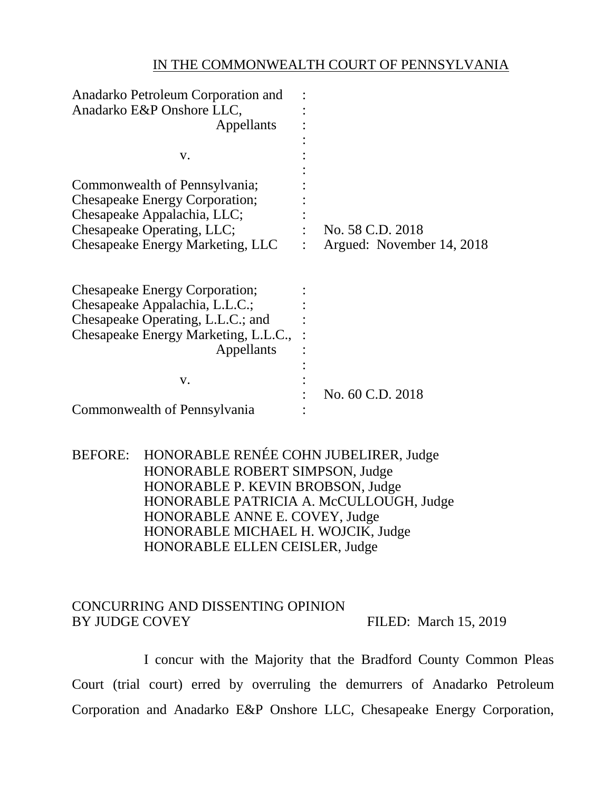### IN THE COMMONWEALTH COURT OF PENNSYLVANIA

| Anadarko Petroleum Corporation and    |                           |
|---------------------------------------|---------------------------|
| Anadarko E&P Onshore LLC,             |                           |
| Appellants                            |                           |
|                                       |                           |
| V.                                    |                           |
|                                       |                           |
| Commonwealth of Pennsylvania;         |                           |
| <b>Chesapeake Energy Corporation;</b> |                           |
| Chesapeake Appalachia, LLC;           |                           |
| Chesapeake Operating, LLC;            | No. 58 C.D. 2018          |
| Chesapeake Energy Marketing, LLC      | Argued: November 14, 2018 |
|                                       |                           |
|                                       |                           |
| <b>Chesapeake Energy Corporation;</b> |                           |
| Chesapeake Appalachia, L.L.C.;        |                           |
| Chesapeake Operating, L.L.C.; and     |                           |
|                                       |                           |
| Chesapeake Energy Marketing, L.L.C.,  |                           |
| Appellants                            |                           |
|                                       |                           |
| V.                                    |                           |
|                                       | No. 60 C.D. 2018          |
| Commonwealth of Pennsylvania          |                           |

BEFORE: HONORABLE RENÉE COHN JUBELIRER, Judge HONORABLE ROBERT SIMPSON, Judge HONORABLE P. KEVIN BROBSON, Judge HONORABLE PATRICIA A. McCULLOUGH, Judge HONORABLE ANNE E. COVEY, Judge HONORABLE MICHAEL H. WOJCIK, Judge HONORABLE ELLEN CEISLER, Judge

## CONCURRING AND DISSENTING OPINION BY JUDGE COVEY FILED: March 15, 2019

I concur with the Majority that the Bradford County Common Pleas Court (trial court) erred by overruling the demurrers of Anadarko Petroleum Corporation and Anadarko E&P Onshore LLC, Chesapeake Energy Corporation,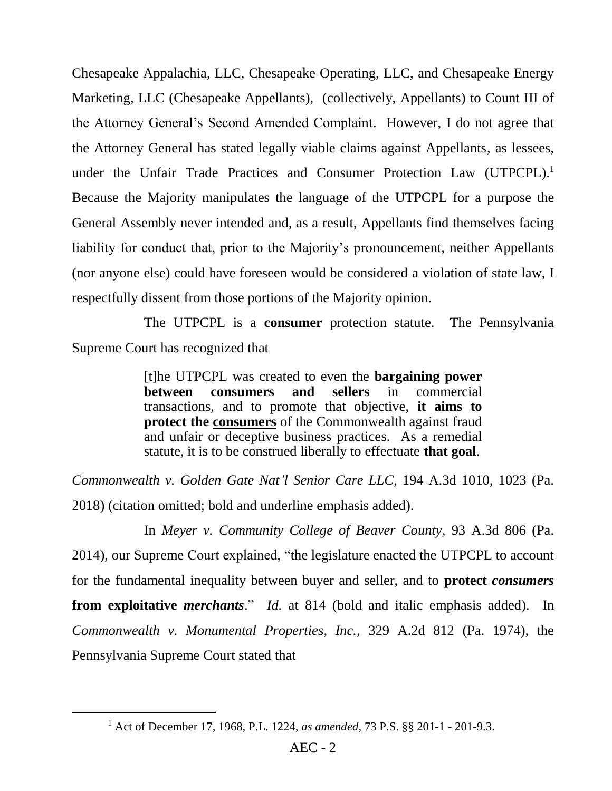Chesapeake Appalachia, LLC, Chesapeake Operating, LLC, and Chesapeake Energy Marketing, LLC (Chesapeake Appellants), (collectively, Appellants) to Count III of the Attorney General's Second Amended Complaint. However, I do not agree that the Attorney General has stated legally viable claims against Appellants, as lessees, under the Unfair Trade Practices and Consumer Protection Law (UTPCPL).<sup>1</sup> Because the Majority manipulates the language of the UTPCPL for a purpose the General Assembly never intended and, as a result, Appellants find themselves facing liability for conduct that, prior to the Majority's pronouncement, neither Appellants (nor anyone else) could have foreseen would be considered a violation of state law, I respectfully dissent from those portions of the Majority opinion.

The UTPCPL is a **consumer** protection statute. The Pennsylvania Supreme Court has recognized that

> [t]he UTPCPL was created to even the **bargaining power between consumers and sellers** in commercial transactions, and to promote that objective, **it aims to protect the consumers** of the Commonwealth against fraud and unfair or deceptive business practices. As a remedial statute, it is to be construed liberally to effectuate **that goal**.

*Commonwealth v. Golden Gate Nat'l Senior Care LLC*, 194 A.3d 1010, 1023 (Pa. 2018) (citation omitted; bold and underline emphasis added).

In *Meyer v. Community College of Beaver County*, 93 A.3d 806 (Pa. 2014), our Supreme Court explained, "the legislature enacted the UTPCPL to account for the fundamental inequality between buyer and seller, and to **protect** *consumers* **from exploitative** *merchants*." *Id.* at 814 (bold and italic emphasis added). In *Commonwealth v. Monumental Properties, Inc.*, 329 A.2d 812 (Pa. 1974), the Pennsylvania Supreme Court stated that

<sup>1</sup> Act of December 17, 1968, P.L. 1224, *as amended*, 73 P.S. §§ 201-1 - 201-9.3.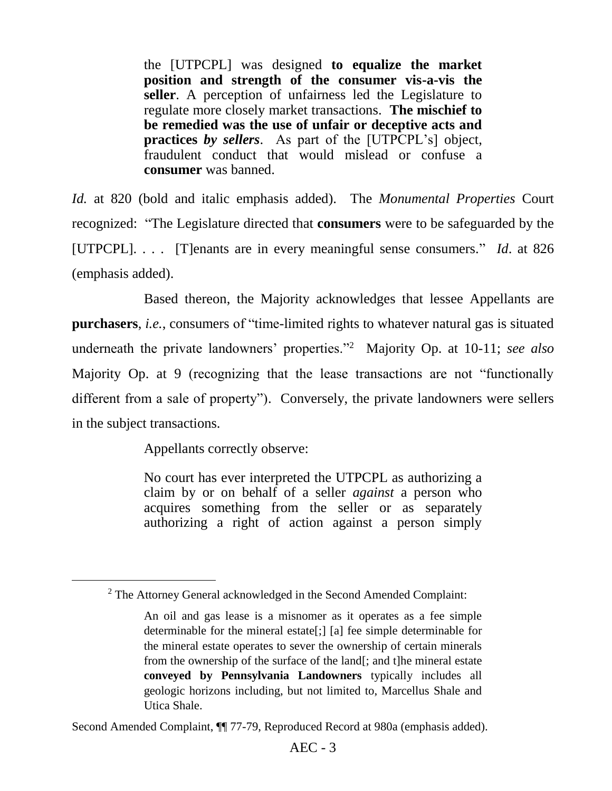the [UTPCPL] was designed **to equalize the market position and strength of the consumer vis-a-vis the seller**. A perception of unfairness led the Legislature to regulate more closely market transactions. **The mischief to be remedied was the use of unfair or deceptive acts and practices** *by sellers*. As part of the [UTPCPL's] object, fraudulent conduct that would mislead or confuse a **consumer** was banned.

*Id.* at 820 (bold and italic emphasis added). The *Monumental Properties* Court recognized: "The Legislature directed that **consumers** were to be safeguarded by the [UTPCPL]. . . . [T]enants are in every meaningful sense consumers." *Id*. at 826 (emphasis added).

Based thereon, the Majority acknowledges that lessee Appellants are **purchasers**, *i.e.*, consumers of "time-limited rights to whatever natural gas is situated underneath the private landowners' properties."<sup>2</sup> Majority Op. at 10-11; *see also* Majority Op. at 9 (recognizing that the lease transactions are not "functionally different from a sale of property"). Conversely, the private landowners were sellers in the subject transactions.

Appellants correctly observe:

 $\overline{a}$ 

No court has ever interpreted the UTPCPL as authorizing a claim by or on behalf of a seller *against* a person who acquires something from the seller or as separately authorizing a right of action against a person simply

 $2$  The Attorney General acknowledged in the Second Amended Complaint:

An oil and gas lease is a misnomer as it operates as a fee simple determinable for the mineral estate[;] [a] fee simple determinable for the mineral estate operates to sever the ownership of certain minerals from the ownership of the surface of the land[; and t]he mineral estate **conveyed by Pennsylvania Landowners** typically includes all geologic horizons including, but not limited to, Marcellus Shale and Utica Shale.

Second Amended Complaint, ¶¶ 77-79, Reproduced Record at 980a (emphasis added).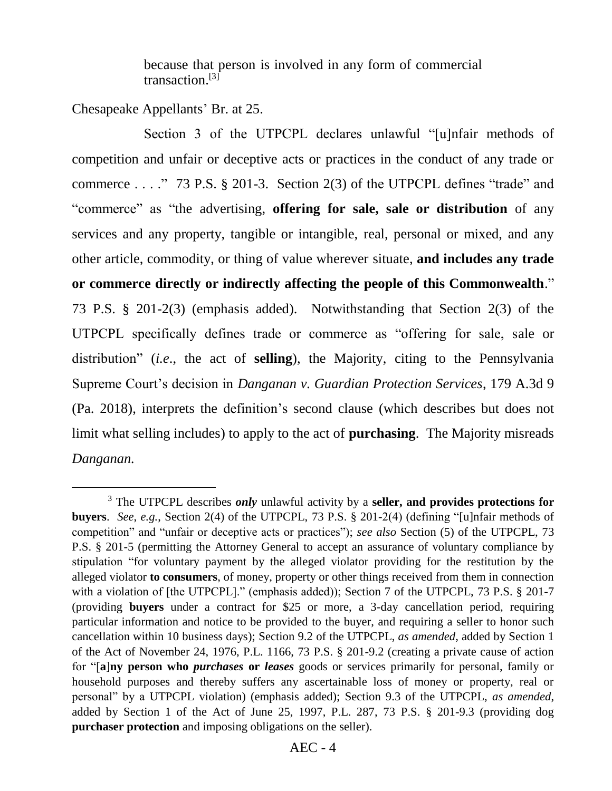because that person is involved in any form of commercial transaction.<sup>[3]</sup>

Chesapeake Appellants' Br. at 25.

 $\overline{a}$ 

Section 3 of the UTPCPL declares unlawful "[u]nfair methods of competition and unfair or deceptive acts or practices in the conduct of any trade or commerce . . . ." 73 P.S. § 201-3. Section 2(3) of the UTPCPL defines "trade" and "commerce" as "the advertising, **offering for sale, sale or distribution** of any services and any property, tangible or intangible, real, personal or mixed, and any other article, commodity, or thing of value wherever situate, **and includes any trade or commerce directly or indirectly affecting the people of this Commonwealth**." 73 P.S. § 201-2(3) (emphasis added). Notwithstanding that Section 2(3) of the UTPCPL specifically defines trade or commerce as "offering for sale, sale or distribution" (*i.e*., the act of **selling**), the Majority, citing to the Pennsylvania Supreme Court's decision in *Danganan v. Guardian Protection Services*, 179 A.3d 9 (Pa. 2018), interprets the definition's second clause (which describes but does not limit what selling includes) to apply to the act of **purchasing**. The Majority misreads *Danganan.*

<sup>3</sup> The UTPCPL describes *only* unlawful activity by a **seller, and provides protections for buyers**. *See*, *e.g.*, Section 2(4) of the UTPCPL, 73 P.S. § 201-2(4) (defining "[u]nfair methods of competition" and "unfair or deceptive acts or practices"); *see also* Section (5) of the UTPCPL, 73 P.S. § 201-5 (permitting the Attorney General to accept an assurance of voluntary compliance by stipulation "for voluntary payment by the alleged violator providing for the restitution by the alleged violator **to consumers**, of money, property or other things received from them in connection with a violation of [the UTPCPL]." (emphasis added)); Section 7 of the UTPCPL, 73 P.S. § 201-7 (providing **buyers** under a contract for \$25 or more, a 3-day cancellation period, requiring particular information and notice to be provided to the buyer, and requiring a seller to honor such cancellation within 10 business days); Section 9.2 of the UTPCPL, *as amended*, added by Section 1 of the Act of November 24, 1976, P.L. 1166, 73 P.S. § 201-9.2 (creating a private cause of action for "[**a**]**ny person who** *purchases* **or** *leases* goods or services primarily for personal, family or household purposes and thereby suffers any ascertainable loss of money or property, real or personal" by a UTPCPL violation) (emphasis added); Section 9.3 of the UTPCPL, *as amended*, added by Section 1 of the Act of June 25, 1997, P.L. 287, 73 P.S. § 201-9.3 (providing dog **purchaser protection** and imposing obligations on the seller).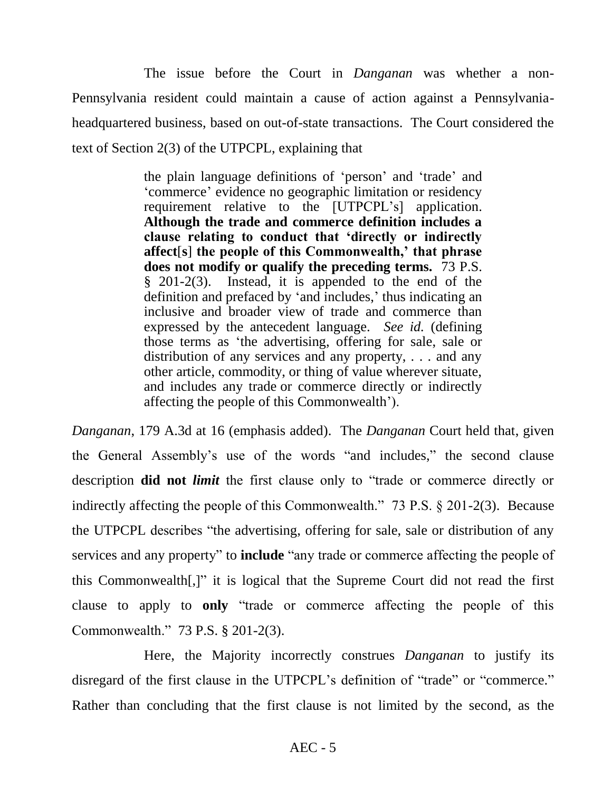The issue before the Court in *Danganan* was whether a non-Pennsylvania resident could maintain a cause of action against a Pennsylvaniaheadquartered business, based on out-of-state transactions. The Court considered the text of Section 2(3) of the UTPCPL, explaining that

> the plain language definitions of 'person' and 'trade' and 'commerce' evidence no geographic limitation or residency requirement relative to the [UTPCPL's] application. **Although the trade and commerce definition includes a clause relating to conduct that 'directly or indirectly affect**[**s**] **the people of this Commonwealth,' that phrase does not modify or qualify the preceding terms.** 73 P.S. § 201-2(3). Instead, it is appended to the end of the definition and prefaced by 'and includes,' thus indicating an inclusive and broader view of trade and commerce than expressed by the antecedent language. *See id.* (defining those terms as 'the advertising, offering for sale, sale or distribution of any services and any property, . . . and any other article, commodity, or thing of value wherever situate, and includes any trade or commerce directly or indirectly affecting the people of this Commonwealth').

*Danganan*, 179 A.3d at 16 (emphasis added). The *Danganan* Court held that, given the General Assembly's use of the words "and includes," the second clause description **did not** *limit* the first clause only to "trade or commerce directly or indirectly affecting the people of this Commonwealth." 73 P.S. § 201-2(3). Because the UTPCPL describes "the advertising, offering for sale, sale or distribution of any services and any property" to **include** "any trade or commerce affecting the people of this Commonwealth[,]" it is logical that the Supreme Court did not read the first clause to apply to **only** "trade or commerce affecting the people of this Commonwealth." 73 P.S. § 201-2(3).

Here, the Majority incorrectly construes *Danganan* to justify its disregard of the first clause in the UTPCPL's definition of "trade" or "commerce." Rather than concluding that the first clause is not limited by the second, as the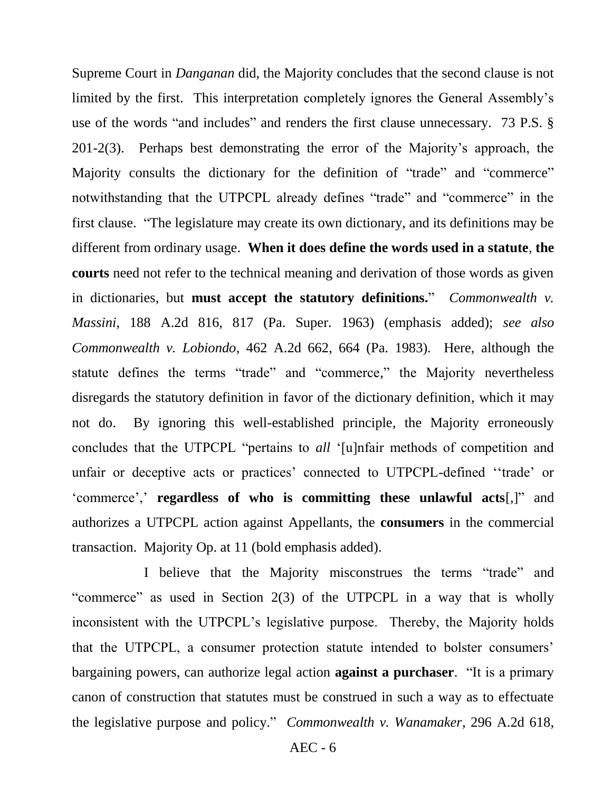Supreme Court in *Danganan* did, the Majority concludes that the second clause is not limited by the first. This interpretation completely ignores the General Assembly's use of the words "and includes" and renders the first clause unnecessary. 73 P.S. § 201-2(3). Perhaps best demonstrating the error of the Majority's approach, the Majority consults the dictionary for the definition of "trade" and "commerce" notwithstanding that the UTPCPL already defines "trade" and "commerce" in the first clause. "The legislature may create its own dictionary, and its definitions may be different from ordinary usage. **When it does define the words used in a statute**, **the courts** need not refer to the technical meaning and derivation of those words as given in dictionaries, but **must accept the statutory definitions.**" *Commonwealth v. Massini*, 188 A.2d 816, 817 (Pa. Super. 1963) (emphasis added); *see also Commonwealth v. Lobiondo*, 462 A.2d 662, 664 (Pa. 1983). Here, although the statute defines the terms "trade" and "commerce," the Majority nevertheless disregards the statutory definition in favor of the dictionary definition, which it may not do. By ignoring this well-established principle, the Majority erroneously concludes that the UTPCPL "pertains to *all* '[u]nfair methods of competition and unfair or deceptive acts or practices' connected to UTPCPL-defined ''trade' or 'commerce',' **regardless of who is committing these unlawful acts**[,]" and authorizes a UTPCPL action against Appellants, the **consumers** in the commercial transaction. Majority Op. at 11 (bold emphasis added).

I believe that the Majority misconstrues the terms "trade" and "commerce" as used in Section 2(3) of the UTPCPL in a way that is wholly inconsistent with the UTPCPL's legislative purpose. Thereby, the Majority holds that the UTPCPL, a consumer protection statute intended to bolster consumers' bargaining powers, can authorize legal action **against a purchaser**. "It is a primary canon of construction that statutes must be construed in such a way as to effectuate the legislative purpose and policy." *Commonwealth v. Wanamaker*, 296 A.2d 618,

AEC - 6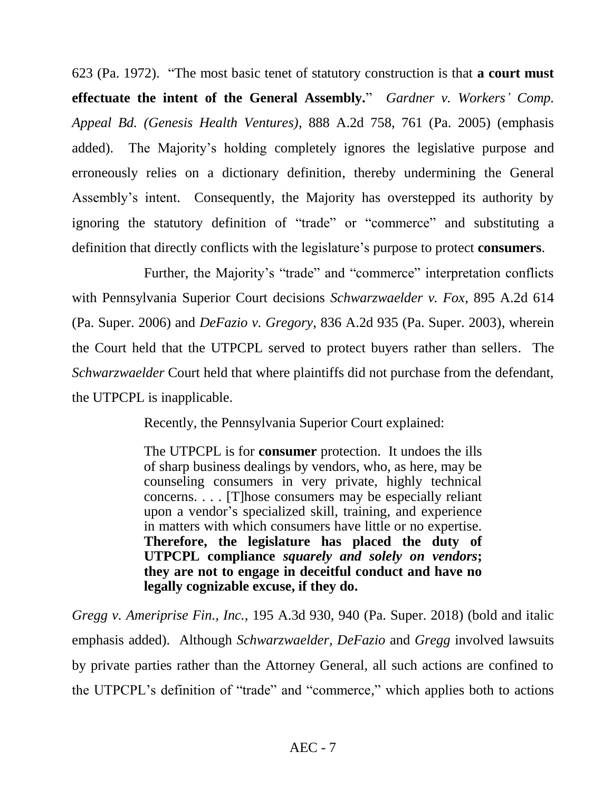623 (Pa. 1972). "The most basic tenet of statutory construction is that **a court must effectuate the intent of the General Assembly.**" *Gardner v. Workers' Comp. Appeal Bd. (Genesis Health Ventures)*, 888 A.2d 758, 761 (Pa. 2005) (emphasis added). The Majority's holding completely ignores the legislative purpose and erroneously relies on a dictionary definition, thereby undermining the General Assembly's intent. Consequently, the Majority has overstepped its authority by ignoring the statutory definition of "trade" or "commerce" and substituting a definition that directly conflicts with the legislature's purpose to protect **consumers**.

Further, the Majority's "trade" and "commerce" interpretation conflicts with Pennsylvania Superior Court decisions *Schwarzwaelder v. Fox*, 895 A.2d 614 (Pa. Super. 2006) and *DeFazio v. Gregory*, 836 A.2d 935 (Pa. Super. 2003), wherein the Court held that the UTPCPL served to protect buyers rather than sellers. The *Schwarzwaelder* Court held that where plaintiffs did not purchase from the defendant, the UTPCPL is inapplicable.

Recently, the Pennsylvania Superior Court explained:

The UTPCPL is for **consumer** protection. It undoes the ills of sharp business dealings by vendors, who, as here, may be counseling consumers in very private, highly technical concerns. . . . [T]hose consumers may be especially reliant upon a vendor's specialized skill, training, and experience in matters with which consumers have little or no expertise. **Therefore, the legislature has placed the duty of UTPCPL compliance** *squarely and solely on vendors***; they are not to engage in deceitful conduct and have no legally cognizable excuse, if they do.**

*Gregg v. Ameriprise Fin., Inc.*, 195 A.3d 930, 940 (Pa. Super. 2018) (bold and italic emphasis added). Although *Schwarzwaelder, DeFazio* and *Gregg* involved lawsuits by private parties rather than the Attorney General, all such actions are confined to the UTPCPL's definition of "trade" and "commerce," which applies both to actions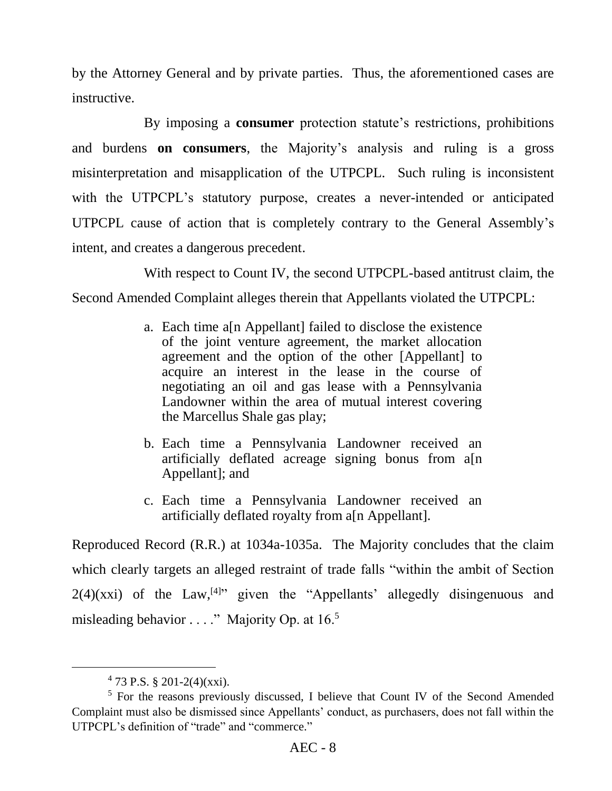by the Attorney General and by private parties. Thus, the aforementioned cases are instructive.

By imposing a **consumer** protection statute's restrictions, prohibitions and burdens **on consumers**, the Majority's analysis and ruling is a gross misinterpretation and misapplication of the UTPCPL. Such ruling is inconsistent with the UTPCPL's statutory purpose, creates a never-intended or anticipated UTPCPL cause of action that is completely contrary to the General Assembly's intent, and creates a dangerous precedent.

With respect to Count IV, the second UTPCPL-based antitrust claim, the Second Amended Complaint alleges therein that Appellants violated the UTPCPL:

- a. Each time a[n Appellant] failed to disclose the existence of the joint venture agreement, the market allocation agreement and the option of the other [Appellant] to acquire an interest in the lease in the course of negotiating an oil and gas lease with a Pennsylvania Landowner within the area of mutual interest covering the Marcellus Shale gas play;
- b. Each time a Pennsylvania Landowner received an artificially deflated acreage signing bonus from a[n Appellant]; and
- c. Each time a Pennsylvania Landowner received an artificially deflated royalty from a[n Appellant].

Reproduced Record (R.R.) at 1034a-1035a. The Majority concludes that the claim which clearly targets an alleged restraint of trade falls "within the ambit of Section  $2(4)(xxi)$  of the Law,<sup>[4]</sup>" given the "Appellants' allegedly disingenuous and misleading behavior  $\dots$ ." Majority Op. at 16.<sup>5</sup>

 $473$  P.S. § 201-2(4)(xxi).

<sup>5</sup> For the reasons previously discussed, I believe that Count IV of the Second Amended Complaint must also be dismissed since Appellants' conduct, as purchasers, does not fall within the UTPCPL's definition of "trade" and "commerce."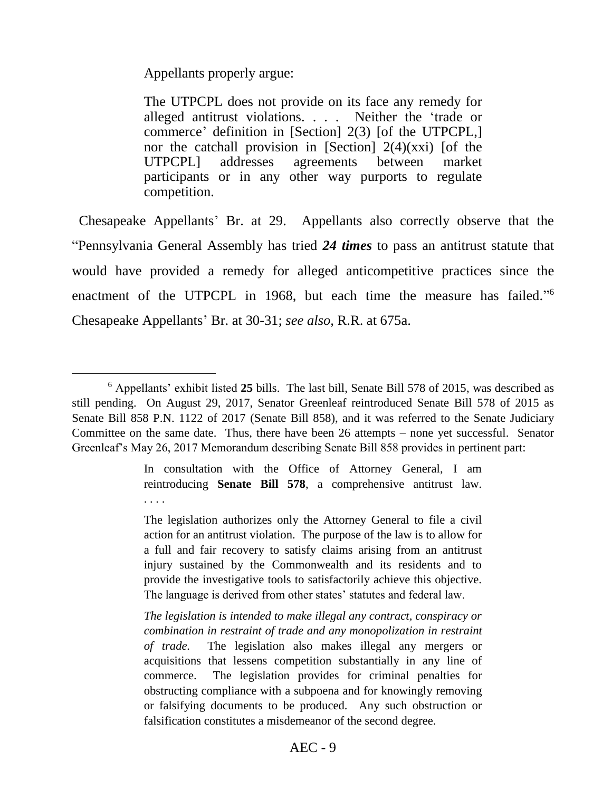Appellants properly argue:

 $\overline{a}$ 

The UTPCPL does not provide on its face any remedy for alleged antitrust violations. . . . Neither the 'trade or commerce' definition in [Section] 2(3) [of the UTPCPL,] nor the catchall provision in [Section]  $2(4)(xxi)$  [of the UTPCPL] addresses agreements between market participants or in any other way purports to regulate competition.

 Chesapeake Appellants' Br. at 29. Appellants also correctly observe that the "Pennsylvania General Assembly has tried *24 times* to pass an antitrust statute that would have provided a remedy for alleged anticompetitive practices since the enactment of the UTPCPL in 1968, but each time the measure has failed."<sup>6</sup> Chesapeake Appellants' Br. at 30-31; *see also,* R.R. at 675a.

In consultation with the Office of Attorney General, I am reintroducing **Senate Bill 578**, a comprehensive antitrust law. . . . .

The legislation authorizes only the Attorney General to file a civil action for an antitrust violation. The purpose of the law is to allow for a full and fair recovery to satisfy claims arising from an antitrust injury sustained by the Commonwealth and its residents and to provide the investigative tools to satisfactorily achieve this objective. The language is derived from other states' statutes and federal law.

*The legislation is intended to make illegal any contract, conspiracy or combination in restraint of trade and any monopolization in restraint of trade.* The legislation also makes illegal any mergers or acquisitions that lessens competition substantially in any line of commerce. The legislation provides for criminal penalties for obstructing compliance with a subpoena and for knowingly removing or falsifying documents to be produced. Any such obstruction or falsification constitutes a misdemeanor of the second degree.

<sup>6</sup> Appellants' exhibit listed **25** bills. The last bill, Senate Bill 578 of 2015, was described as still pending. On August 29, 2017, Senator Greenleaf reintroduced Senate Bill 578 of 2015 as Senate Bill 858 P.N. 1122 of 2017 (Senate Bill 858), and it was referred to the Senate Judiciary Committee on the same date. Thus, there have been 26 attempts – none yet successful. Senator Greenleaf's May 26, 2017 Memorandum describing Senate Bill 858 provides in pertinent part: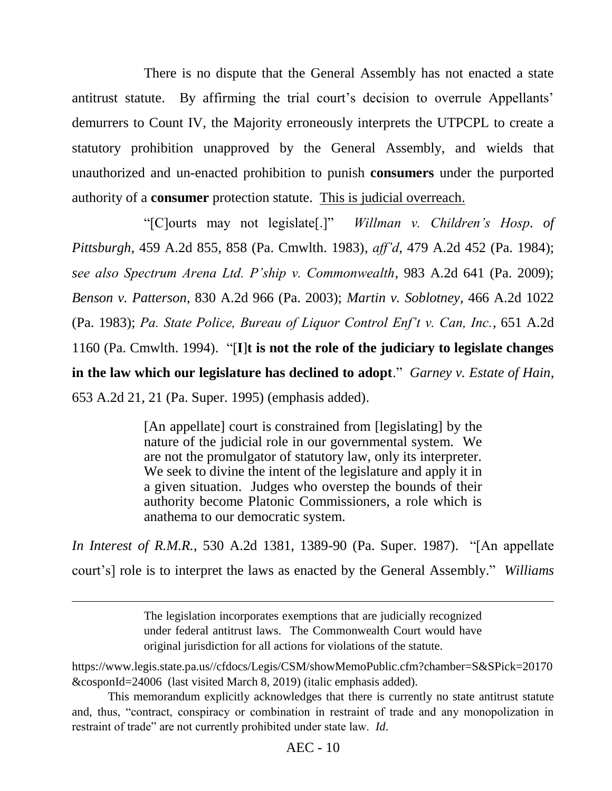There is no dispute that the General Assembly has not enacted a state antitrust statute. By affirming the trial court's decision to overrule Appellants' demurrers to Count IV, the Majority erroneously interprets the UTPCPL to create a statutory prohibition unapproved by the General Assembly, and wields that unauthorized and un-enacted prohibition to punish **consumers** under the purported authority of a **consumer** protection statute. This is judicial overreach.

"[C]ourts may not legislate[.]" *Willman v. Children's Hosp. of Pittsburgh*, 459 A.2d 855, 858 (Pa. Cmwlth. 1983), *aff'd*, 479 A.2d 452 (Pa. 1984); *see also Spectrum Arena Ltd. P'ship v. Commonwealth*, 983 A.2d 641 (Pa. 2009); *Benson v. Patterson*, 830 A.2d 966 (Pa. 2003); *Martin v. Soblotney*, 466 A.2d 1022 (Pa. 1983); *Pa. State Police, Bureau of Liquor Control Enf't v. Can, Inc.*, 651 A.2d 1160 (Pa. Cmwlth. 1994). "[**I**]**t is not the role of the judiciary to legislate changes in the law which our legislature has declined to adopt**." *Garney v. Estate of Hain*, 653 A.2d 21, 21 (Pa. Super. 1995) (emphasis added).

> [An appellate] court is constrained from [legislating] by the nature of the judicial role in our governmental system. We are not the promulgator of statutory law, only its interpreter. We seek to divine the intent of the legislature and apply it in a given situation. Judges who overstep the bounds of their authority become Platonic Commissioners, a role which is anathema to our democratic system.

*In Interest of R.M.R.*, 530 A.2d 1381, 1389-90 (Pa. Super. 1987). "[An appellate court's] role is to interpret the laws as enacted by the General Assembly." *Williams* 

> The legislation incorporates exemptions that are judicially recognized under federal antitrust laws. The Commonwealth Court would have original jurisdiction for all actions for violations of the statute.

 $\overline{a}$ 

https://www.legis.state.pa.us//cfdocs/Legis/CSM/showMemoPublic.cfm?chamber=S&SPick=20170 &cosponId=24006 (last visited March 8, 2019) (italic emphasis added).

This memorandum explicitly acknowledges that there is currently no state antitrust statute and, thus, "contract, conspiracy or combination in restraint of trade and any monopolization in restraint of trade" are not currently prohibited under state law.*Id*.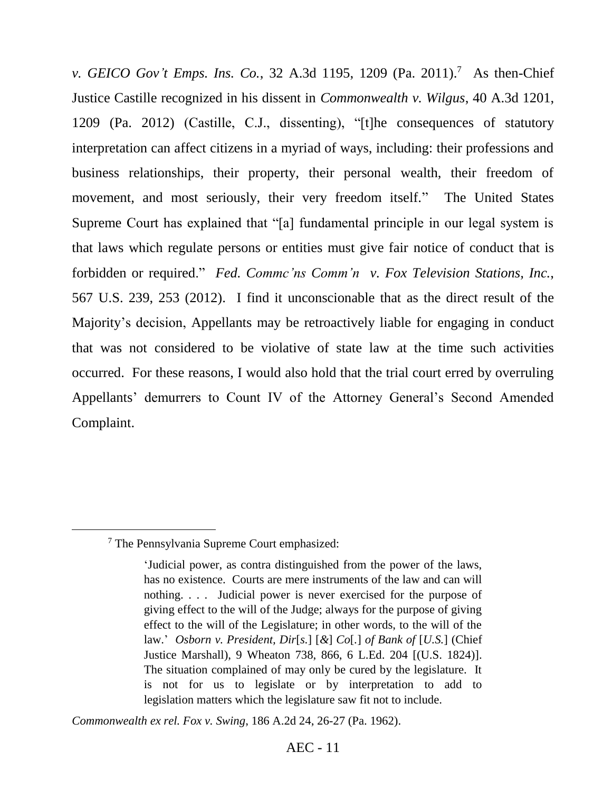*v. GEICO Gov't Emps. Ins. Co.*, 32 A.3d 1195, 1209 (Pa. 2011). 7 As then-Chief Justice Castille recognized in his dissent in *Commonwealth v. Wilgus*, 40 A.3d 1201, 1209 (Pa. 2012) (Castille, C.J., dissenting), "[t]he consequences of statutory interpretation can affect citizens in a myriad of ways, including: their professions and business relationships, their property, their personal wealth, their freedom of movement, and most seriously, their very freedom itself." The United States Supreme Court has explained that "[a] fundamental principle in our legal system is that laws which regulate persons or entities must give fair notice of conduct that is forbidden or required." *Fed. Commc'ns Comm'n v. Fox Television Stations, Inc.*, 567 U.S. 239, 253 (2012). I find it unconscionable that as the direct result of the Majority's decision, Appellants may be retroactively liable for engaging in conduct that was not considered to be violative of state law at the time such activities occurred. For these reasons, I would also hold that the trial court erred by overruling Appellants' demurrers to Count IV of the Attorney General's Second Amended Complaint.

 $\overline{a}$ 

*Commonwealth ex rel. Fox v. Swing*, 186 A.2d 24, 26-27 (Pa. 1962).

<sup>7</sup> The Pennsylvania Supreme Court emphasized:

<sup>&#</sup>x27;Judicial power, as contra distinguished from the power of the laws, has no existence. Courts are mere instruments of the law and can will nothing. . . . Judicial power is never exercised for the purpose of giving effect to the will of the Judge; always for the purpose of giving effect to the will of the Legislature; in other words, to the will of the law.' *Osborn v. President, Dir*[*s.*] [*&*] *Co*[*.*] *of Bank of* [*U.S.*] (Chief Justice Marshall), 9 Wheaton 738, 866, 6 L.Ed. 204 [(U.S. 1824)]. The situation complained of may only be cured by the legislature. It is not for us to legislate or by interpretation to add to legislation matters which the legislature saw fit not to include.